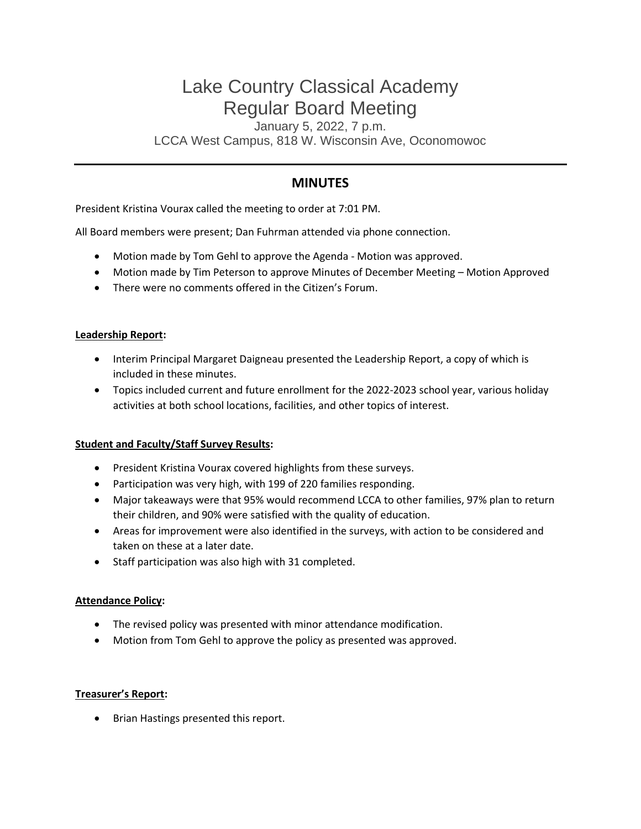# Lake Country Classical Academy Regular Board Meeting

January 5, 2022, 7 p.m. LCCA West Campus, 818 W. Wisconsin Ave, Oconomowoc

# **MINUTES**

President Kristina Vourax called the meeting to order at 7:01 PM.

All Board members were present; Dan Fuhrman attended via phone connection.

- Motion made by Tom Gehl to approve the Agenda Motion was approved.
- Motion made by Tim Peterson to approve Minutes of December Meeting Motion Approved
- There were no comments offered in the Citizen's Forum.

#### **Leadership Report:**

- Interim Principal Margaret Daigneau presented the Leadership Report, a copy of which is included in these minutes.
- Topics included current and future enrollment for the 2022-2023 school year, various holiday activities at both school locations, facilities, and other topics of interest.

#### **Student and Faculty/Staff Survey Results:**

- President Kristina Vourax covered highlights from these surveys.
- Participation was very high, with 199 of 220 families responding.
- Major takeaways were that 95% would recommend LCCA to other families, 97% plan to return their children, and 90% were satisfied with the quality of education.
- Areas for improvement were also identified in the surveys, with action to be considered and taken on these at a later date.
- Staff participation was also high with 31 completed.

#### **Attendance Policy:**

- The revised policy was presented with minor attendance modification.
- Motion from Tom Gehl to approve the policy as presented was approved.

#### **Treasurer's Report:**

• Brian Hastings presented this report.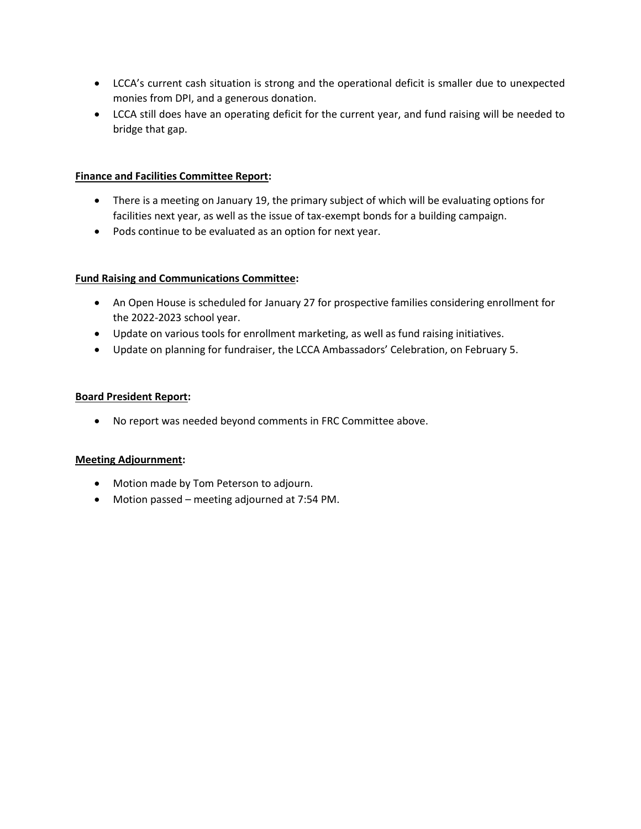- LCCA's current cash situation is strong and the operational deficit is smaller due to unexpected monies from DPI, and a generous donation.
- LCCA still does have an operating deficit for the current year, and fund raising will be needed to bridge that gap.

#### **Finance and Facilities Committee Report:**

- There is a meeting on January 19, the primary subject of which will be evaluating options for facilities next year, as well as the issue of tax-exempt bonds for a building campaign.
- Pods continue to be evaluated as an option for next year.

#### **Fund Raising and Communications Committee:**

- An Open House is scheduled for January 27 for prospective families considering enrollment for the 2022-2023 school year.
- Update on various tools for enrollment marketing, as well as fund raising initiatives.
- Update on planning for fundraiser, the LCCA Ambassadors' Celebration, on February 5.

#### **Board President Report:**

• No report was needed beyond comments in FRC Committee above.

#### **Meeting Adjournment:**

- Motion made by Tom Peterson to adjourn.
- Motion passed meeting adjourned at 7:54 PM.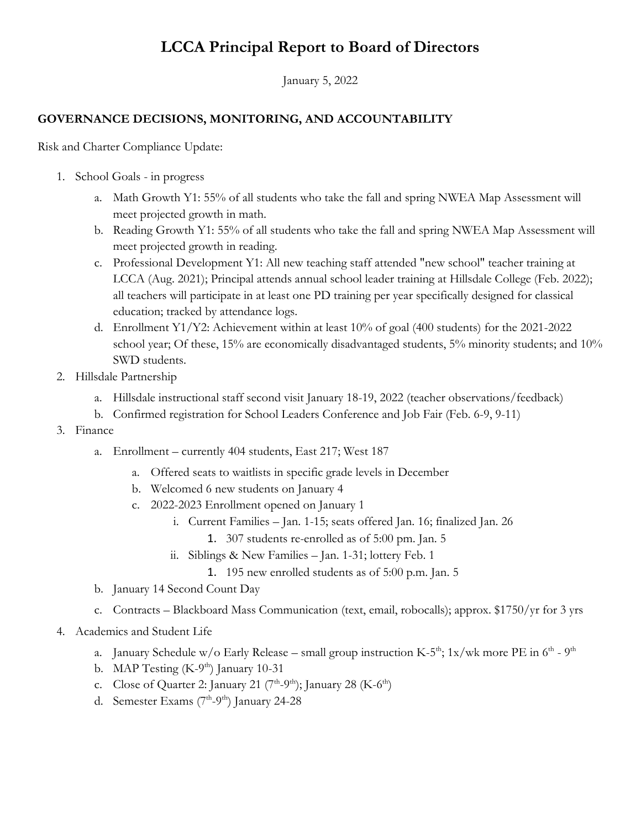# **LCCA Principal Report to Board of Directors**

January 5, 2022

## **GOVERNANCE DECISIONS, MONITORING, AND ACCOUNTABILITY**

Risk and Charter Compliance Update:

- 1. School Goals in progress
	- a. Math Growth Y1: 55% of all students who take the fall and spring NWEA Map Assessment will meet projected growth in math.
	- b. Reading Growth Y1: 55% of all students who take the fall and spring NWEA Map Assessment will meet projected growth in reading.
	- c. Professional Development Y1: All new teaching staff attended "new school" teacher training at LCCA (Aug. 2021); Principal attends annual school leader training at Hillsdale College (Feb. 2022); all teachers will participate in at least one PD training per year specifically designed for classical education; tracked by attendance logs.
	- d. Enrollment Y1/Y2: Achievement within at least 10% of goal (400 students) for the 2021-2022 school year; Of these, 15% are economically disadvantaged students, 5% minority students; and 10% SWD students.
- 2. Hillsdale Partnership
	- a. Hillsdale instructional staff second visit January 18-19, 2022 (teacher observations/feedback)
	- b. Confirmed registration for School Leaders Conference and Job Fair (Feb. 6-9, 9-11)
- 3. Finance
	- a. Enrollment currently 404 students, East 217; West 187
		- a. Offered seats to waitlists in specific grade levels in December
		- b. Welcomed 6 new students on January 4
		- c. 2022-2023 Enrollment opened on January 1
			- i. Current Families Jan. 1-15; seats offered Jan. 16; finalized Jan. 26
				- 1. 307 students re-enrolled as of 5:00 pm. Jan. 5
			- ii. Siblings & New Families Jan. 1-31; lottery Feb. 1
				- 1. 195 new enrolled students as of 5:00 p.m. Jan. 5
	- b. January 14 Second Count Day
	- c. Contracts Blackboard Mass Communication (text, email, robocalls); approx. \$1750/yr for 3 yrs
- 4. Academics and Student Life
	- a. January Schedule w/o Early Release small group instruction K-5<sup>th</sup>; 1x/wk more PE in 6<sup>th</sup> 9<sup>th</sup>
	- b. MAP Testing (K-9<sup>th</sup>) January 10-31
	- c. Close of Quarter 2: January 21 ( $7^{\text{th}}$ -9<sup>th</sup>); January 28 (K-6<sup>th</sup>)
	- d. Semester Exams (7<sup>th</sup>-9<sup>th</sup>) January 24-28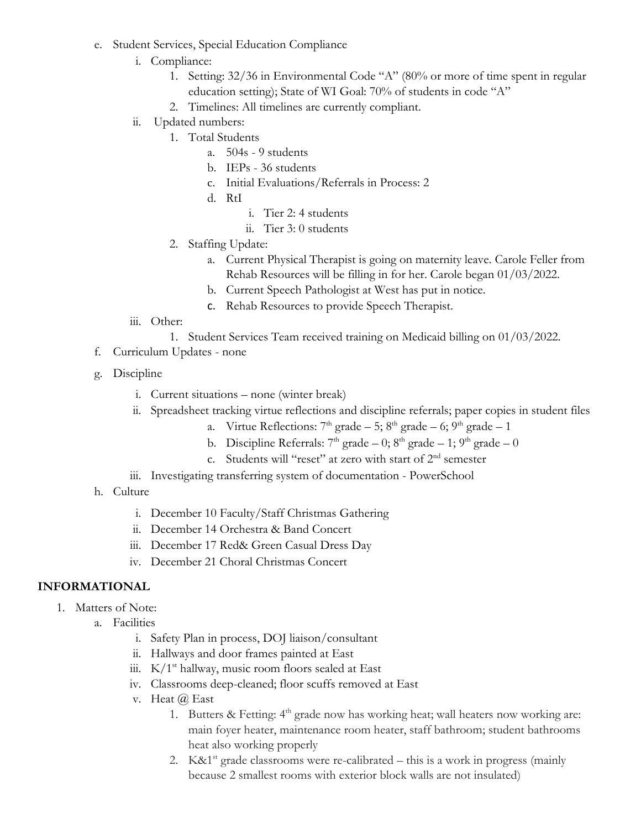- e. Student Services, Special Education Compliance
	- i. Compliance:
		- 1. Setting: 32/36 in Environmental Code "A" (80% or more of time spent in regular education setting); State of WI Goal: 70% of students in code "A"
		- 2. Timelines: All timelines are currently compliant.
	- ii. Updated numbers:
		- 1. Total Students
			- a. 504s 9 students
			- b. IEPs 36 students
			- c. Initial Evaluations/Referrals in Process: 2
			- d. RtI
				- i. Tier 2: 4 students
				- ii. Tier 3: 0 students
		- 2. Staffing Update:
			- a. Current Physical Therapist is going on maternity leave. Carole Feller from Rehab Resources will be filling in for her. Carole began 01/03/2022.
			- b. Current Speech Pathologist at West has put in notice.
			- c. Rehab Resources to provide Speech Therapist.
	- iii. Other:
		- 1. Student Services Team received training on Medicaid billing on 01/03/2022.
- f. Curriculum Updates none
- g. Discipline
	- i. Current situations none (winter break)
	- ii. Spreadsheet tracking virtue reflections and discipline referrals; paper copies in student files
		- a. Virtue Reflections:  $7<sup>th</sup>$  grade 5;  $8<sup>th</sup>$  grade 6;  $9<sup>th</sup>$  grade 1
		- b. Discipline Referrals:  $7<sup>th</sup>$  grade 0;  $8<sup>th</sup>$  grade 1;  $9<sup>th</sup>$  grade 0
		- c. Students will "reset" at zero with start of 2nd semester
	- iii. Investigating transferring system of documentation PowerSchool
- h. Culture
	- i. December 10 Faculty/Staff Christmas Gathering
	- ii. December 14 Orchestra & Band Concert
	- iii. December 17 Red& Green Casual Dress Day
	- iv. December 21 Choral Christmas Concert

### **INFORMATIONAL**

- 1. Matters of Note:
	- a. Facilities
		- i. Safety Plan in process, DOJ liaison/consultant
		- ii. Hallways and door frames painted at East
		- iii.  $K/1^{st}$  hallway, music room floors sealed at East
		- iv. Classrooms deep-cleaned; floor scuffs removed at East
		- v. Heat @ East
			- 1. Butters & Fetting: 4<sup>th</sup> grade now has working heat; wall heaters now working are: main foyer heater, maintenance room heater, staff bathroom; student bathrooms heat also working properly
			- 2. K&1<sup>st</sup> grade classrooms were re-calibrated this is a work in progress (mainly because 2 smallest rooms with exterior block walls are not insulated)